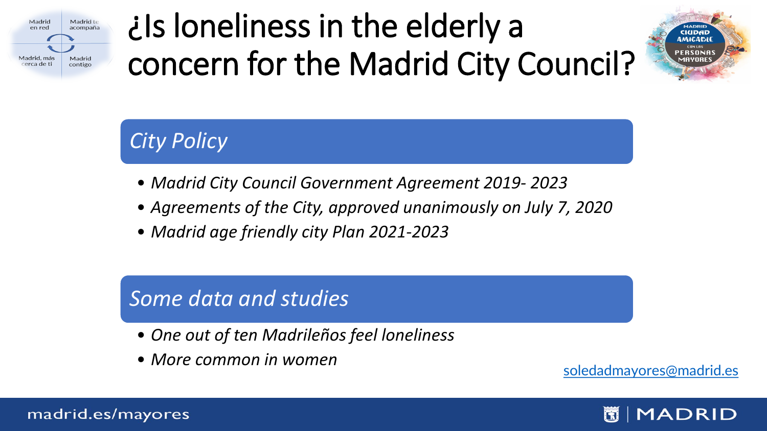

### ¿Is loneliness in the elderly a concern for the Madrid City Council?



### *City Policy*

- *Madrid City Council Government Agreement 2019- 2023*
- *Agreements of the City, approved unanimously on July 7, 2020*
- *Madrid age friendly city Plan 2021-2023*

#### *Some data and studies*

- *One out of ten Madrileños feel loneliness*
- *More common in women*<br> [soledadmayores@madrid.es](mailto:soledadmayores@madrid.es)

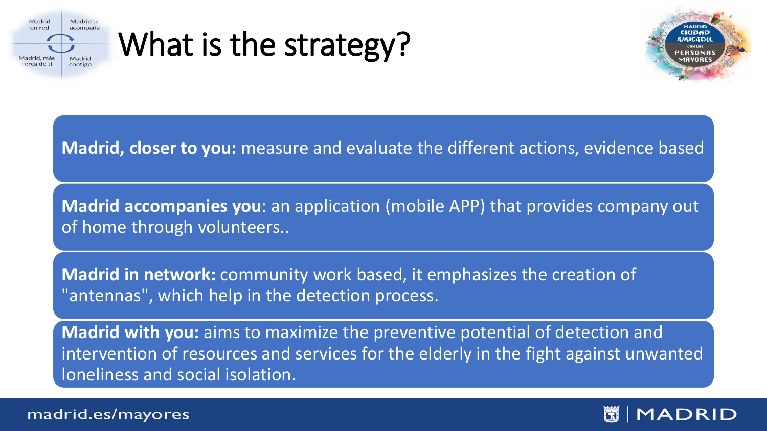

### What is the strategy?



#### **Madrid, closer to you:** measure and evaluate the different actions, evidence based

**Madrid accompanies you**: an application (mobile APP) that provides company out of home through volunteers..

**Madrid in network:** community work based, it emphasizes the creation of "antennas", which help in the detection process.

**Madrid with you:** aims to maximize the preventive potential of detection and intervention of resources and services for the elderly in the fight against unwanted loneliness and social isolation.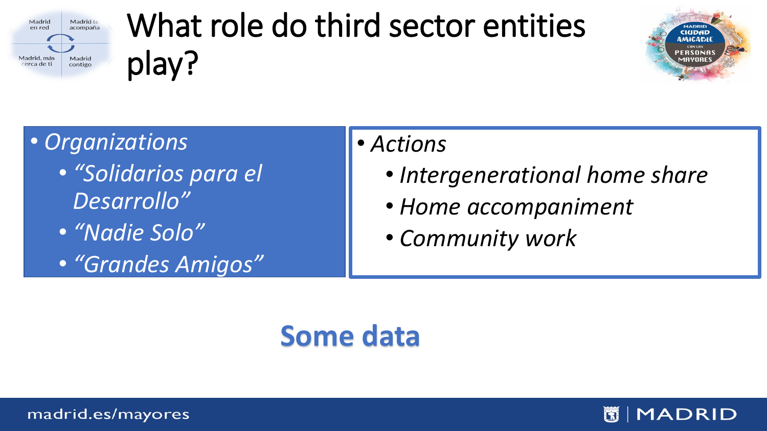

# What role do third sector entities play?



### • *Organizations*

- *"Solidarios para el Desarrollo"*
- *"Nadie Solo"*
- *"Grandes Amigos"*

#### • *Actions*

- *Intergenerational home share*
- *Home accompaniment*
- *Community work*

### **Some data**

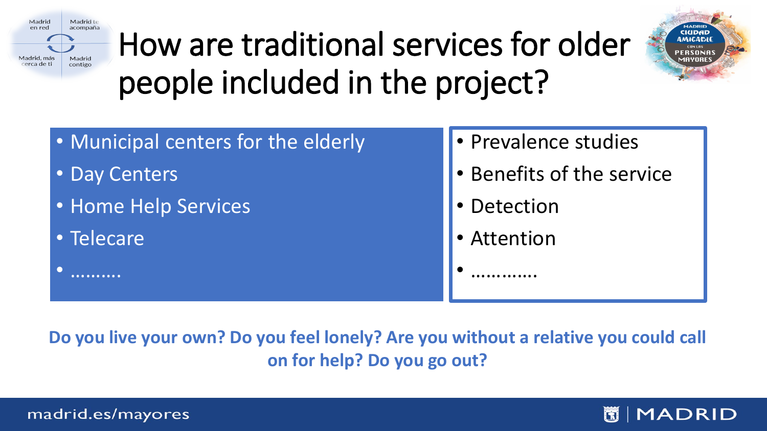

# How are traditional services for older people included in the project?



- Municipal centers for the elderly
- Day Centers
- Home Help Services
- Telecare

• ……….

#### • Prevalence studies

- Benefits of the service
- Detection
- Attention

• ………….

**Do you live your own? Do you feel lonely? Are you without a relative you could call on for help? Do you go out?**